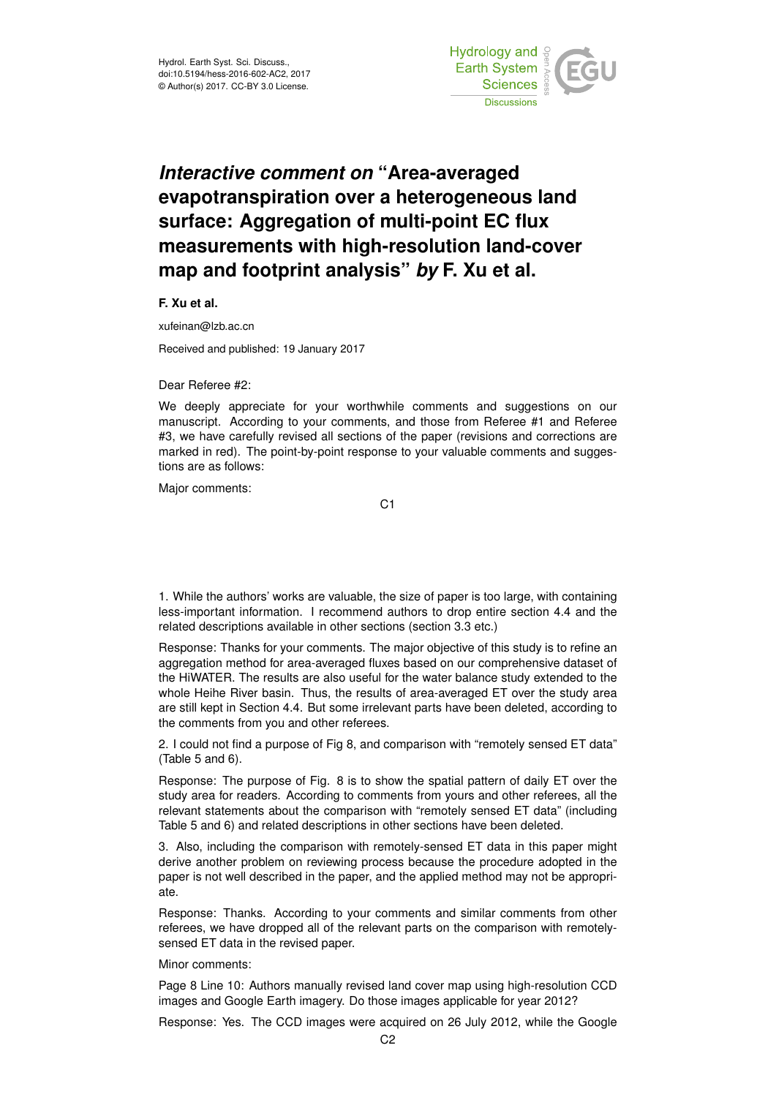

## *Interactive comment on* **"Area-averaged evapotranspiration over a heterogeneous land surface: Aggregation of multi-point EC flux measurements with high-resolution land-cover map and footprint analysis"** *by* **F. Xu et al.**

**F. Xu et al.**

xufeinan@lzb.ac.cn

Received and published: 19 January 2017

Dear Referee #2:

We deeply appreciate for your worthwhile comments and suggestions on our manuscript. According to your comments, and those from Referee #1 and Referee #3, we have carefully revised all sections of the paper (revisions and corrections are marked in red). The point-by-point response to your valuable comments and suggestions are as follows:

Major comments:

C1

1. While the authors' works are valuable, the size of paper is too large, with containing less-important information. I recommend authors to drop entire section 4.4 and the related descriptions available in other sections (section 3.3 etc.)

Response: Thanks for your comments. The major objective of this study is to refine an aggregation method for area-averaged fluxes based on our comprehensive dataset of the HiWATER. The results are also useful for the water balance study extended to the whole Heihe River basin. Thus, the results of area-averaged ET over the study area are still kept in Section 4.4. But some irrelevant parts have been deleted, according to the comments from you and other referees.

2. I could not find a purpose of Fig 8, and comparison with "remotely sensed ET data" (Table 5 and 6).

Response: The purpose of Fig. 8 is to show the spatial pattern of daily ET over the study area for readers. According to comments from yours and other referees, all the relevant statements about the comparison with "remotely sensed ET data" (including Table 5 and 6) and related descriptions in other sections have been deleted.

3. Also, including the comparison with remotely-sensed ET data in this paper might derive another problem on reviewing process because the procedure adopted in the paper is not well described in the paper, and the applied method may not be appropriate.

Response: Thanks. According to your comments and similar comments from other referees, we have dropped all of the relevant parts on the comparison with remotelysensed ET data in the revised paper.

Minor comments:

Page 8 Line 10: Authors manually revised land cover map using high-resolution CCD images and Google Earth imagery. Do those images applicable for year 2012?

Response: Yes. The CCD images were acquired on 26 July 2012, while the Google